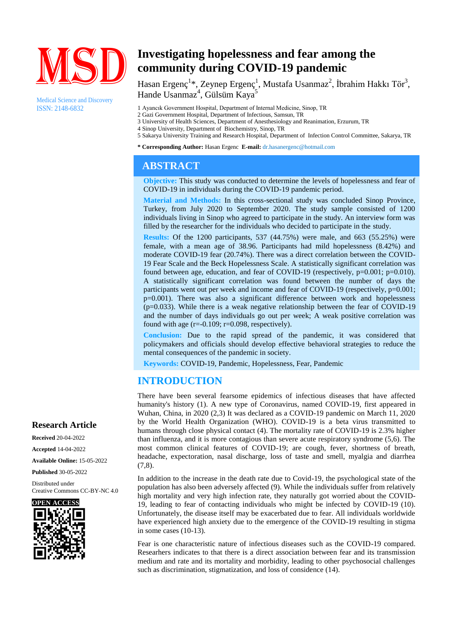

Medical Science and Discovery ISSN: 2148-6832

# **Investigating hopelessness and fear among the community during COVID-19 pandemic**

Hasan Ergenç<sup>1</sup>\*, Zeynep Ergenç<sup>1</sup>, Mustafa Usanmaz<sup>2</sup>, İbrahim Hakkı Tör<sup>3</sup>, Hande Usanmaz<sup>4</sup>, Gülsüm Kaya<sup>5</sup>

1 Ayancık Government Hospital, Department of Internal Medicine, Sinop, TR

- 2 Gazi Government Hospital, Department of Infectious, Samsun, TR
- 3 University of Health Sciences, Department of Anesthesiology and Reanimation, Erzurum, TR
- 4 Sinop University, Department of Biochemistry, Sinop, TR
- 5 Sakarya University Training and Research Hospital, Department of Infection Control Committee, Sakarya, TR

**\* Corresponding Author:** Hasan Ergenc **E-mail:** dr.hasanergenc@hotmail.com

## **ABSTRACT**

**Objective:** This study was conducted to determine the levels of hopelessness and fear of COVID-19 in individuals during the COVID-19 pandemic period.

**Material and Methods:** In this cross-sectional study was concluded Sinop Province, Turkey, from July 2020 to September 2020. The study sample consisted of 1200 individuals living in Sinop who agreed to participate in the study. An interview form was filled by the researcher for the individuals who decided to participate in the study.

**Results:** Of the 1200 participants, 537 (44.75%) were male, and 663 (55.25%) were female, with a mean age of 38.96. Participants had mild hopelessness (8.42%) and moderate COVID-19 fear (20.74%). There was a direct correlation between the COVID-19 Fear Scale and the Beck Hopelessness Scale. A statistically significant correlation was found between age, education, and fear of COVID-19 (respectively,  $p=0.001$ ;  $p=0.010$ ). A statistically significant correlation was found between the number of days the participants went out per week and income and fear of COVID-19 (respectively, p=0.001; p=0.001). There was also a significant difference between work and hopelessness  $(p=0.033)$ . While there is a weak negative relationship between the fear of COVID-19 and the number of days individuals go out per week; A weak positive correlation was found with age  $(r=0.109; r=0.098,$  respectively).

**Conclusion:** Due to the rapid spread of the pandemic, it was considered that policymakers and officials should develop effective behavioral strategies to reduce the mental consequences of the pandemic in society.

**Keywords:** COVID-19, Pandemic, Hopelessness, Fear, Pandemic

### **INTRODUCTION**

There have been several fearsome epidemics of infectious diseases that have affected humanity's history (1). A new type of Coronavirus, named COVID-19, first appeared in Wuhan, China, in 2020 (2,3) It was declared as a COVID-19 pandemic on March 11, 2020 by the World Health Organization (WHO). COVID-19 is a beta virus transmitted to humans through close physical contact (4). The mortality rate of COVID-19 is 2.3% higher than influenza, and it is more contagious than severe acute respiratory syndrome (5,6). The most common clinical features of COVID-19; are cough, fever, shortness of breath, headache, expectoration, nasal discharge, loss of taste and smell, myalgia and diarrhea  $(7,8)$ .

In addition to the increase in the death rate due to Covid-19, the psychological state of the population has also been adversely affected (9). While the individuals suffer from relatively high mortality and very high infection rate, they naturally got worried about the COVID-19, leading to fear of contacting individuals who might be infected by COVID-19 (10). Unfortunately, the disease itself may be exacerbated due to fear. All individuals worldwide have experienced high anxiety due to the emergence of the COVID-19 resulting in stigma in some cases (10-13).

Fear is one characteristic nature of infectious diseases such as the COVID-19 compared. Researhers indicates to that there is a direct association between fear and its transmission medium and rate and its mortality and morbidity, leading to other psychosocial challenges such as discrimination, stigmatization, and loss of considence (14).

#### **Research Article**

**Received** 20-04-2022 **Accepted** 14-04-2022 **Available Online:** 15-05-2022

**Published** 30-05-2022

Distributed under Creative Commons CC-BY-NC 4.0

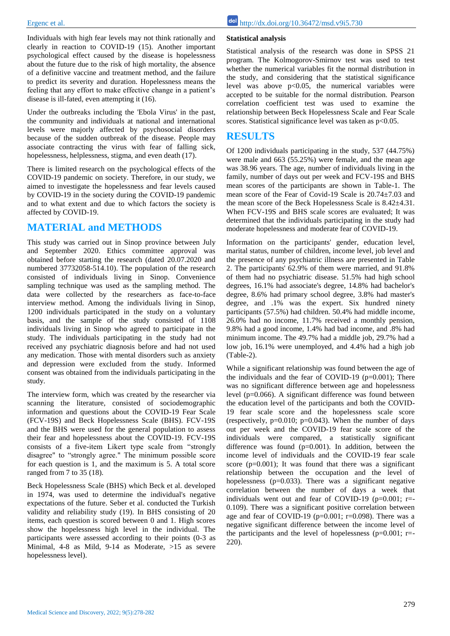Individuals with high fear levels may not think rationally and clearly in reaction to COVID-19 (15). Another important psychological effect caused by the disease is hopelessness about the future due to the risk of high mortality, the absence of a definitive vaccine and treatment method, and the failure to predict its severity and duration. Hopelessness means the feeling that any effort to make effective change in a patient's disease is ill-fated, even attempting it (16).

Under the outbreaks including the 'Ebola Virus' in the past, the community and individuals at national and international levels were majorly affected by psychosocial disorders because of the sudden outbreak of the disease. People may associate contracting the virus with fear of falling sick, hopelessness, helplessness, stigma, and even death (17).

There is limited research on the psychological effects of the COVID-19 pandemic on society. Therefore, in our study, we aimed to investigate the hopelessness and fear levels caused by COVID-19 in the society during the COVID-19 pandemic and to what extent and due to which factors the society is affected by COVID-19.

### **MATERIAL and METHODS**

This study was carried out in Sinop province between July and September 2020. Ethics committee approval was obtained before starting the research (dated 20.07.2020 and numbered 37732058-514.10). The population of the research consisted of individuals living in Sinop. Convenience sampling technique was used as the sampling method. The data were collected by the researchers as face-to-face interview method. Among the individuals living in Sinop, 1200 individuals participated in the study on a voluntary basis, and the sample of the study consisted of 1108 individuals living in Sinop who agreed to participate in the study. The individuals participating in the study had not received any psychiatric diagnosis before and had not used any medication. Those with mental disorders such as anxiety and depression were excluded from the study. Informed consent was obtained from the individuals participating in the study.

The interview form, which was created by the researcher via scanning the literature, consisted of sociodemographic information and questions about the COVID-19 Fear Scale (FCV-19S) and Beck Hopelessness Scale (BHS). FCV-19S and the BHS were used for the general population to assess their fear and hopelessness about the COVID-19. FCV-19S consists of a five-item Likert type scale from "strongly disagree" to "strongly agree." The minimum possible score for each question is 1, and the maximum is 5. A total score ranged from 7 to 35 (18).

Beck Hopelessness Scale (BHS) which Beck et al. developed in 1974, was used to determine the individual's negative expectations of the future. Seber et al. conducted the Turkish validity and reliability study (19). In BHS consisting of 20 items, each question is scored between 0 and 1. High scores show the hopelessness high level in the individual. The participants were assessed according to their points (0-3 as Minimal, 4-8 as Mild, 9-14 as Moderate, >15 as severe hopelessness level).

#### **Statistical analysis**

Statistical analysis of the research was done in SPSS 21 program. The Kolmogorov-Smirnov test was used to test whether the numerical variables fit the normal distribution in the study, and considering that the statistical significance level was above  $p<0.05$ , the numerical variables were accepted to be suitable for the normal distribution. Pearson correlation coefficient test was used to examine the relationship between Beck Hopelessness Scale and Fear Scale scores. Statistical significance level was taken as  $p<0.05$ .

### **RESULTS**

Of 1200 individuals participating in the study, 537 (44.75%) were male and 663 (55.25%) were female, and the mean age was 38.96 years. The age, number of individuals living in the family, number of days out per week and FCV-19S and BHS mean scores of the participants are shown in Table-1. The mean score of the Fear of Covid-19 Scale is 20.74±7.03 and the mean score of the Beck Hopelessness Scale is 8.42±4.31. When FCV-19S and BHS scale scores are evaluated; It was determined that the individuals participating in the study had moderate hopelessness and moderate fear of COVID-19.

Information on the participants' gender, education level, marital status, number of children, income level, job level and the presence of any psychiatric illness are presented in Table 2. The participants' 62.9% of them were married, and 91.8% of them had no psychiatric disease. 51.5% had high school degrees, 16.1% had associate's degree, 14.8% had bachelor's degree, 8.6% had primary school degree, 3.8% had master's degree, and .1% was the expert. Six hundred ninety participants (57.5%) had children. 50.4% had middle income, 26.0% had no income, 11.7% received a monthly pension, 9.8% had a good income, 1.4% had bad income, and .8% had minimum income. The 49.7% had a middle job, 29.7% had a low job, 16.1% were unemployed, and 4.4% had a high job (Table-2).

While a significant relationship was found between the age of the individuals and the fear of COVID-19  $(p=0.001)$ ; There was no significant difference between age and hopelessness level (p=0.066). A significant difference was found between the education level of the participants and both the COVID-19 fear scale score and the hopelessness scale score (respectively,  $p=0.010$ ;  $p=0.043$ ). When the number of days out per week and the COVID-19 fear scale score of the individuals were compared, a statistically significant difference was found  $(p=0.001)$ . In addition, between the income level of individuals and the COVID-19 fear scale score  $(p=0.001)$ ; It was found that there was a significant relationship between the occupation and the level of hopelessness (p=0.033). There was a significant negative correlation between the number of days a week that individuals went out and fear of COVID-19 ( $p=0.001$ ; r=-0.109). There was a significant positive correlation between age and fear of COVID-19 ( $p=0.001$ ;  $r=0.098$ ). There was a negative significant difference between the income level of the participants and the level of hopelessness ( $p=0.001$ ; r=-220).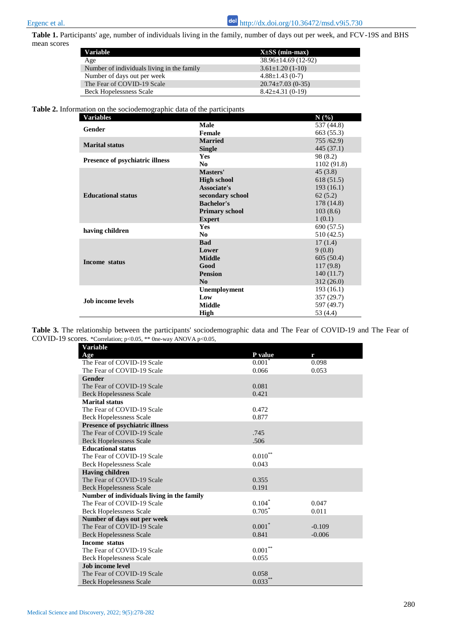**Table 1.** Participants' age, number of individuals living in the family, number of days out per week, and FCV-19S and BHS mean scores

| <b>Variable</b>                            | $X\pm SS$ (min-max)       |
|--------------------------------------------|---------------------------|
| Age                                        | $38.96 \pm 14.69$ (12-92) |
| Number of individuals living in the family | $3.61 \pm 1.20$ (1-10)    |
| Number of days out per week                | $4.88 \pm 1.43$ (0-7)     |
| The Fear of COVID-19 Scale                 | $20.74 \pm 7.03$ (0-35)   |
| <b>Beck Hopelessness Scale</b>             | $8.42 \pm 4.31(0-19)$     |

**Table 2.** Information on the sociodemographic data of the participants

| <b>Variables</b>                       |                       | N(%)        |
|----------------------------------------|-----------------------|-------------|
| Gender                                 | <b>Male</b>           | 537 (44.8)  |
|                                        | Female                | 663 (55.3)  |
| <b>Marital status</b>                  | <b>Married</b>        | 755/62.9    |
|                                        | <b>Single</b>         | 445 (37.1)  |
| <b>Presence of psychiatric illness</b> | <b>Yes</b>            | 98 (8.2)    |
|                                        | N <sub>0</sub>        | 1102 (91.8) |
| <b>Educational status</b>              | Masters'              | 45(3.8)     |
|                                        | <b>High school</b>    | 618(51.5)   |
|                                        | Associate's           | 193(16.1)   |
|                                        | secondary school      | 62(5.2)     |
|                                        | <b>Bachelor's</b>     | 178 (14.8)  |
|                                        | <b>Primary school</b> | 103(8.6)    |
|                                        | <b>Expert</b>         | 1(0.1)      |
| having children                        | <b>Yes</b>            | 690 (57.5)  |
|                                        | N <sub>0</sub>        | 510 (42.5)  |
| Income status                          | <b>Bad</b>            | 17(1.4)     |
|                                        | Lower                 | 9(0.8)      |
|                                        | <b>Middle</b>         | 605(50.4)   |
|                                        | Good                  | 117(9.8)    |
|                                        | <b>Pension</b>        | 140(11.7)   |
|                                        | N <sub>0</sub>        | 312(26.0)   |
| Job income levels                      | <b>Unemployment</b>   | 193(16.1)   |
|                                        | Low                   | 357 (29.7)  |
|                                        | <b>Middle</b>         | 597 (49.7)  |
|                                        | High                  | 53 (4.4)    |

**Table 3.** The relationship between the participants' sociodemographic data and The Fear of COVID-19 and The Fear of COVID-19 scores. \*Correlation; p<0.05, \*\* 0ne-way ANOVA p<0.05,

| <b>Variable</b>                            |                   |          |
|--------------------------------------------|-------------------|----------|
| Age                                        | P value           | r        |
| The Fear of COVID-19 Scale                 | $0.001^*$         | 0.098    |
| The Fear of COVID-19 Scale                 | 0.066             | 0.053    |
| <b>Gender</b>                              |                   |          |
| The Fear of COVID-19 Scale                 | 0.081             |          |
| <b>Beck Hopelessness Scale</b>             | 0.421             |          |
| <b>Marital status</b>                      |                   |          |
| The Fear of COVID-19 Scale                 | 0.472             |          |
| <b>Beck Hopelessness Scale</b>             | 0.877             |          |
| <b>Presence of psychiatric illness</b>     |                   |          |
| The Fear of COVID-19 Scale                 | .745              |          |
| <b>Beck Hopelessness Scale</b>             | .506              |          |
| <b>Educational status</b>                  |                   |          |
| The Fear of COVID-19 Scale                 | $0.010***$        |          |
| <b>Beck Hopelessness Scale</b>             | 0.043             |          |
| <b>Having children</b>                     |                   |          |
| The Fear of COVID-19 Scale                 | 0.355             |          |
| <b>Beck Hopelessness Scale</b>             | 0.191             |          |
| Number of individuals living in the family |                   |          |
| The Fear of COVID-19 Scale                 | $0.104^{\degree}$ | 0.047    |
| <b>Beck Hopelessness Scale</b>             | $0.705*$          | 0.011    |
| Number of days out per week                |                   |          |
| The Fear of COVID-19 Scale                 | $0.001*$          | $-0.109$ |
| <b>Beck Hopelessness Scale</b>             | 0.841             | $-0.006$ |
| <b>Income status</b>                       |                   |          |
| The Fear of COVID-19 Scale                 | $0.001\sp{**}$    |          |
| <b>Beck Hopelessness Scale</b>             | 0.055             |          |
| <b>Job income level</b>                    |                   |          |
| The Fear of COVID-19 Scale                 | 0.058             |          |
| <b>Beck Hopelessness Scale</b>             | $0.033***$        |          |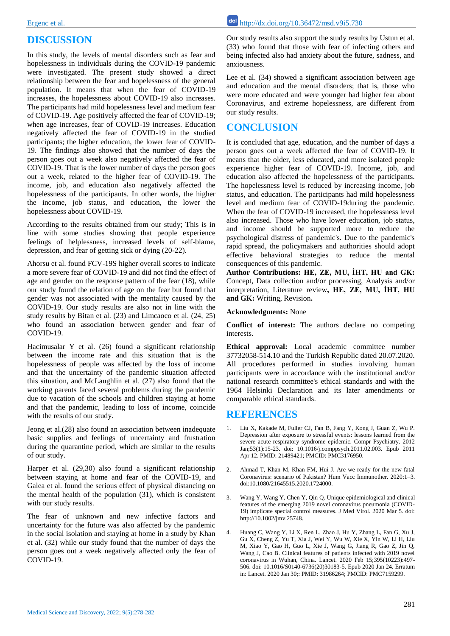## **DISCUSSION**

In this study, the levels of mental disorders such as fear and hopelessness in individuals during the COVID-19 pandemic were investigated. The present study showed a direct relationship between the fear and hopelessness of the general population. It means that when the fear of COVID-19 increases, the hopelessness about COVID-19 also increases. The participants had mild hopelessness level and medium fear of COVID-19. Age positively affected the fear of COVID-19; when age increases, fear of COVID-19 increases. Education negatively affected the fear of COVID-19 in the studied participants; the higher education, the lower fear of COVID-19. The findings also showed that the number of days the person goes out a week also negatively affected the fear of COVID-19. That is the lower number of days the person goes out a week, related to the higher fear of COVID-19. The income, job, and education also negatively affected the hopelessness of the participants. In other words, the higher the income, job status, and education, the lower the hopelessness about COVID-19.

According to the results obtained from our study; This is in line with some studies showing that people experience feelings of helplessness, increased levels of self-blame, depression, and fear of getting sick or dying (20-22).

Ahorsu et al. found FCV-19S higher overall scores to indicate a more severe fear of COVID-19 and did not find the effect of age and gender on the response pattern of the fear (18), while our study found the relation of age on the fear but found that gender was not associated with the mentality caused by the COVID-19. Our study results are also not in line with the study results by Bitan et al. (23) and Limcaoco et al. (24, 25) who found an association between gender and fear of COVID-19.

Hacimusalar Y et al. (26) found a significant relationship between the income rate and this situation that is the hopelessness of people was affected by the loss of income and that the uncertainty of the pandemic situation affected this situation, and McLaughlin et al. (27) also found that the working parents faced several problems during the pandemic due to vacation of the schools and children staying at home and that the pandemic, leading to loss of income, coincide with the results of our study.

Jeong et al.(28) also found an association between inadequate basic supplies and feelings of uncertainty and frustration during the quarantine period, which are similar to the results of our study.

Harper et al. (29,30) also found a significant relationship between staying at home and fear of the COVID-19, and Galea et al. found the serious effect of physical distancing on the mental health of the population (31), which is consistent with our study results.

The fear of unknown and new infective factors and uncertainty for the future was also affected by the pandemic in the social isolation and staying at home in a study by Khan et al. (32) while our study found that the number of days the person goes out a week negatively affected only the fear of COVID-19.

Our study results also support the study results by Ustun et al. (33) who found that those with fear of infecting others and being infected also had anxiety about the future, sadness, and anxiousness.

Lee et al. (34) showed a significant association between age and education and the mental disorders; that is, those who were more educated and were younger had higher fear about Coronavirus, and extreme hopelessness, are different from our study results.

### **CONCLUSION**

It is concluded that age, education, and the number of days a person goes out a week affected the fear of COVID-19. It means that the older, less educated, and more isolated people experience higher fear of COVID-19. Income, job, and education also affected the hopelessness of the participants. The hopelessness level is reduced by increasing income, job status, and education. The participants had mild hopelessness level and medium fear of COVID-19during the pandemic. When the fear of COVID-19 increased, the hopelessness level also increased. Those who have lower education, job status, and income should be supported more to reduce the psychological distress of pandemic's. Due to the pandemic's rapid spread, the policymakers and authorities should adopt effective behavioral strategies to reduce the mental consequences of this pandemic.

**Author Contributions: HE, ZE, MU, İHT, HU and GK:**  Concept, Data collection and/or processing, Analysis and/or interpretation, Literature review**, HE, ZE, MU, İHT, HU and GK:** Writing, Revision**.**

#### **Acknowledgments:** None

**Conflict of interest:** The authors declare no competing interests.

**Ethical approval:** Local academic committee number 37732058-514.10 and the Turkish Republic dated 20.07.2020. All procedures performed in studies involving human participants were in accordance with the institutional and/or national research committee's ethical standards and with the 1964 Helsinki Declaration and its later amendments or comparable ethical standards.

#### **REFERENCES**

- 1. Liu X, Kakade M, Fuller CJ, Fan B, Fang Y, Kong J, Guan Z, Wu P. Depression after exposure to stressful events: lessons learned from the severe acute respiratory syndrome epidemic. Compr Psychiatry. 2012 Jan;53(1):15-23. doi: 10.1016/j.comppsych.2011.02.003. Epub 2011 Apr 12. PMID: 21489421; PMCID: PMC3176950.
- 2. Ahmad T, Khan M, Khan FM, Hui J. Are we ready for the new fatal Coronavirus: scenario of Pakistan? Hum Vacc Immunother. 2020:1–3. doi:10.1080/21645515.2020.1724000.
- 3. Wang Y, Wang Y, Chen Y, Qin Q. Unique epidemiological and clinical features of the emerging 2019 novel coronavirus pneumonia (COVID-19) implicate special control measures. J Med Virol. 2020 Mar 5. doi: http://10.1002/jmv.25748.
- 4. Huang C, Wang Y, Li X, Ren L, Zhao J, Hu Y, Zhang L, Fan G, Xu J, Gu X, Cheng Z, Yu T, Xia J, Wei Y, Wu W, Xie X, Yin W, Li H, Liu M, Xiao Y, Gao H, Guo L, Xie J, Wang G, Jiang R, Gao Z, Jin Q, Wang J, Cao B. Clinical features of patients infected with 2019 novel coronavirus in Wuhan, China. Lancet. 2020 Feb 15;395(10223):497- 506. doi: 10.1016/S0140-6736(20)30183-5. Epub 2020 Jan 24. Erratum in: Lancet. 2020 Jan 30;: PMID: 31986264; PMCID: PMC7159299.